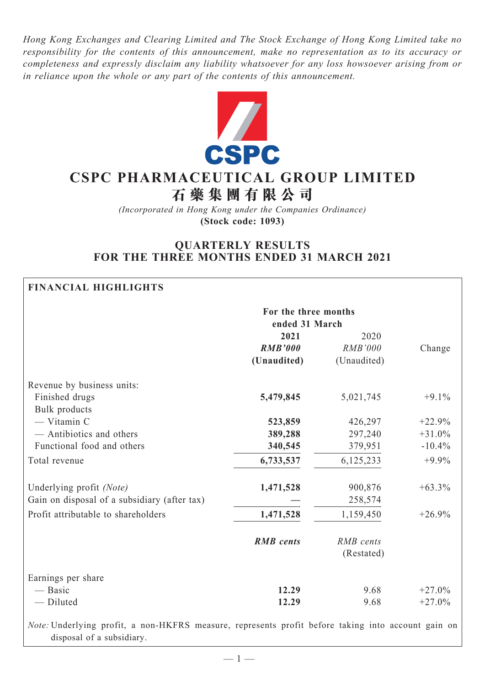*Hong Kong Exchanges and Clearing Limited and The Stock Exchange of Hong Kong Limited take no responsibility for the contents of this announcement, make no representation as to its accuracy or completeness and expressly disclaim any liability whatsoever for any loss howsoever arising from or in reliance upon the whole or any part of the contents of this announcement.*



# **CSPC Pharmaceutical Group Limited**

**石 藥 集 團 有 限 公 司**

*(Incorporated in Hong Kong under the Companies Ordinance)* **(Stock code: 1093)**

# **QUARTERLY RESULTS FOR THE THREE MONTHS ENDED 31 MARCH 2021**

# **Financial Highlights**

|                                                                                                    | For the three months<br>ended 31 March |                |          |
|----------------------------------------------------------------------------------------------------|----------------------------------------|----------------|----------|
|                                                                                                    | 2021                                   | 2020           |          |
|                                                                                                    | <b>RMB'000</b>                         | <b>RMB'000</b> | Change   |
|                                                                                                    | (Unaudited)                            | (Unaudited)    |          |
| Revenue by business units:                                                                         |                                        |                |          |
| Finished drugs                                                                                     | 5,479,845                              | 5,021,745      | $+9.1%$  |
| <b>Bulk</b> products                                                                               |                                        |                |          |
| - Vitamin C                                                                                        | 523,859                                | 426,297        | $+22.9%$ |
| - Antibiotics and others                                                                           | 389,288                                | 297,240        | $+31.0%$ |
| Functional food and others                                                                         | 340,545                                | 379,951        | $-10.4%$ |
| Total revenue                                                                                      | 6,733,537                              | 6,125,233      | $+9.9%$  |
| Underlying profit (Note)                                                                           | 1,471,528                              | 900,876        | $+63.3%$ |
| Gain on disposal of a subsidiary (after tax)                                                       |                                        | 258,574        |          |
| Profit attributable to shareholders                                                                | 1,471,528                              | 1,159,450      | $+26.9%$ |
|                                                                                                    | <b>RMB</b> cents                       | RMB cents      |          |
|                                                                                                    |                                        | (Restated)     |          |
| Earnings per share                                                                                 |                                        |                |          |
| — Basic                                                                                            | 12.29                                  | 9.68           | $+27.0%$ |
| - Diluted                                                                                          | 12.29                                  | 9.68           | $+27.0%$ |
| Note: Underlying profit, a non-HKFRS measure, represents profit before taking into account gain on |                                        |                |          |

disposal of a subsidiary.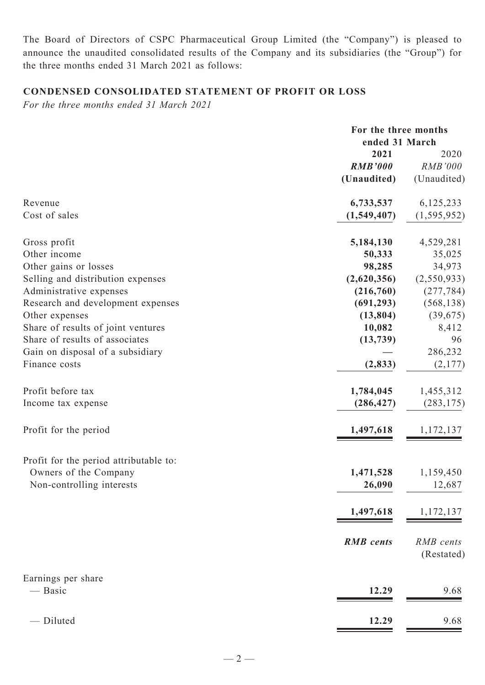The Board of Directors of CSPC Pharmaceutical Group Limited (the "Company") is pleased to announce the unaudited consolidated results of the Company and its subsidiaries (the "Group") for the three months ended 31 March 2021 as follows:

# **Condensed CONSOLIDATED STATEMENT OF PROFIT OR LOSS**

*For the three months ended 31 March 2021*

|                                        | For the three months<br>ended 31 March |                |
|----------------------------------------|----------------------------------------|----------------|
|                                        | 2021                                   | 2020           |
|                                        | <b>RMB'000</b>                         | <b>RMB'000</b> |
|                                        | (Unaudited)                            | (Unaudited)    |
| Revenue                                | 6,733,537                              | 6,125,233      |
| Cost of sales                          | (1,549,407)                            | (1, 595, 952)  |
| Gross profit                           | 5,184,130                              | 4,529,281      |
| Other income                           | 50,333                                 | 35,025         |
| Other gains or losses                  | 98,285                                 | 34,973         |
| Selling and distribution expenses      | (2,620,356)                            | (2,550,933)    |
| Administrative expenses                | (216,760)                              | (277, 784)     |
| Research and development expenses      | (691, 293)                             | (568, 138)     |
| Other expenses                         | (13, 804)                              | (39,675)       |
| Share of results of joint ventures     | 10,082                                 | 8,412          |
| Share of results of associates         | (13, 739)                              | 96             |
| Gain on disposal of a subsidiary       |                                        | 286,232        |
| Finance costs                          | (2, 833)                               | (2,177)        |
| Profit before tax                      | 1,784,045                              | 1,455,312      |
| Income tax expense                     | (286, 427)                             | (283, 175)     |
| Profit for the period                  | 1,497,618                              | 1,172,137      |
| Profit for the period attributable to: |                                        |                |
| Owners of the Company                  | 1,471,528                              | 1,159,450      |
| Non-controlling interests              | 26,090                                 | 12,687         |
|                                        | 1,497,618                              | 1,172,137      |
|                                        | <b>RMB</b> cents                       | RMB cents      |
|                                        |                                        | (Restated)     |
| Earnings per share                     |                                        |                |
| — Basic                                | 12.29                                  | 9.68           |
| - Diluted                              | 12.29                                  | 9.68           |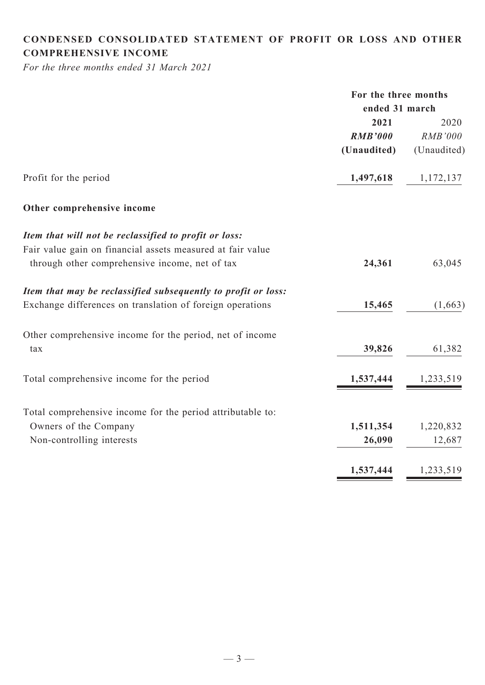# **CONDENSED CONSOLIDATED statement of Profit or Loss and Other comprehensive income**

*For the three months ended 31 March 2021*

|                                                               | For the three months |                |  |
|---------------------------------------------------------------|----------------------|----------------|--|
|                                                               | ended 31 march       |                |  |
|                                                               | 2021                 | 2020           |  |
|                                                               | <b>RMB'000</b>       | <b>RMB'000</b> |  |
|                                                               | (Unaudited)          | (Unaudited)    |  |
| Profit for the period                                         | 1,497,618            | 1,172,137      |  |
| Other comprehensive income                                    |                      |                |  |
| Item that will not be reclassified to profit or loss:         |                      |                |  |
| Fair value gain on financial assets measured at fair value    |                      |                |  |
| through other comprehensive income, net of tax                | 24,361               | 63,045         |  |
| Item that may be reclassified subsequently to profit or loss: |                      |                |  |
| Exchange differences on translation of foreign operations     | 15,465               | (1,663)        |  |
| Other comprehensive income for the period, net of income      |                      |                |  |
| tax                                                           | 39,826               | 61,382         |  |
| Total comprehensive income for the period                     | 1,537,444            | 1,233,519      |  |
| Total comprehensive income for the period attributable to:    |                      |                |  |
| Owners of the Company                                         | 1,511,354            | 1,220,832      |  |
| Non-controlling interests                                     | 26,090               | 12,687         |  |
|                                                               | 1,537,444            | 1,233,519      |  |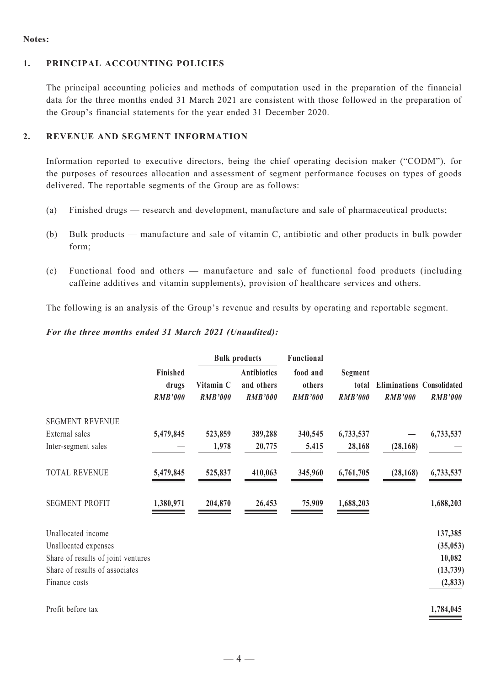#### **Notes:**

# **1. Principal Accounting Policies**

The principal accounting policies and methods of computation used in the preparation of the financial data for the three months ended 31 March 2021 are consistent with those followed in the preparation of the Group's financial statements for the year ended 31 December 2020.

#### **2. REVENUE and Segment Information**

Information reported to executive directors, being the chief operating decision maker ("CODM"), for the purposes of resources allocation and assessment of segment performance focuses on types of goods delivered. The reportable segments of the Group are as follows:

- (a) Finished drugs research and development, manufacture and sale of pharmaceutical products;
- (b) Bulk products manufacture and sale of vitamin C, antibiotic and other products in bulk powder form;
- (c) Functional food and others manufacture and sale of functional food products (including caffeine additives and vitamin supplements), provision of healthcare services and others.

The following is an analysis of the Group's revenue and results by operating and reportable segment.

#### *For the three months ended 31 March 2021 (Unaudited):*

|                                    |                                     |                             | <b>Bulk products</b>                               | Functional                           |                                    | <b>Eliminations Consolidated</b><br><b>RMB'000</b> | <b>RMB'000</b> |
|------------------------------------|-------------------------------------|-----------------------------|----------------------------------------------------|--------------------------------------|------------------------------------|----------------------------------------------------|----------------|
|                                    | Finished<br>drugs<br><b>RMB'000</b> | Vitamin C<br><b>RMB'000</b> | <b>Antibiotics</b><br>and others<br><b>RMB'000</b> | food and<br>others<br><b>RMB'000</b> | Segment<br>total<br><b>RMB'000</b> |                                                    |                |
| <b>SEGMENT REVENUE</b>             |                                     |                             |                                                    |                                      |                                    |                                                    |                |
| External sales                     | 5,479,845                           | 523,859                     | 389,288                                            | 340,545                              | 6,733,537                          |                                                    | 6,733,537      |
| Inter-segment sales                |                                     | 1,978                       | 20,775                                             | 5,415                                | 28,168                             | (28, 168)                                          |                |
| <b>TOTAL REVENUE</b>               | 5,479,845                           | 525,837                     | 410,063                                            | 345,960                              | 6,761,705                          | (28, 168)                                          | 6,733,537      |
| <b>SEGMENT PROFIT</b>              | 1,380,971                           | 204,870                     | 26,453                                             | 75,909                               | 1,688,203                          |                                                    | 1,688,203      |
| Unallocated income                 |                                     |                             |                                                    |                                      |                                    |                                                    | 137,385        |
| Unallocated expenses               |                                     |                             |                                                    |                                      |                                    |                                                    | (35, 053)      |
| Share of results of joint ventures |                                     |                             |                                                    |                                      |                                    |                                                    | 10,082         |
| Share of results of associates     |                                     |                             |                                                    |                                      |                                    |                                                    | (13, 739)      |
| Finance costs                      |                                     |                             |                                                    |                                      |                                    |                                                    | (2, 833)       |
| Profit before tax                  |                                     |                             |                                                    |                                      |                                    |                                                    | 1,784,045      |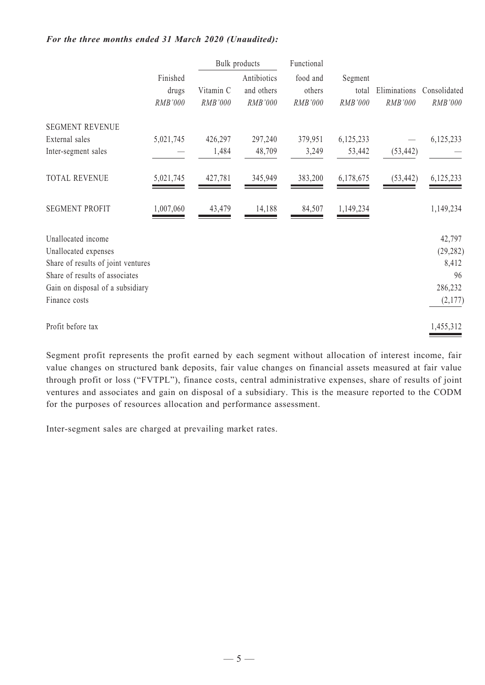#### *For the three months ended 31 March 2020 (Unaudited):*

|                                    |                              |                      | <b>Bulk</b> products<br>Functional   |                               |                             |                         |                         |
|------------------------------------|------------------------------|----------------------|--------------------------------------|-------------------------------|-----------------------------|-------------------------|-------------------------|
|                                    | Finished<br>drugs<br>RMB'000 | Vitamin C<br>RMB'000 | Antibiotics<br>and others<br>RMB'000 | food and<br>others<br>RMB'000 | Segment<br>total<br>RMB'000 | Eliminations<br>RMB'000 | Consolidated<br>RMB'000 |
| <b>SEGMENT REVENUE</b>             |                              |                      |                                      |                               |                             |                         |                         |
| External sales                     | 5,021,745                    | 426,297              | 297,240                              | 379,951                       | 6,125,233                   |                         | 6,125,233               |
| Inter-segment sales                |                              | 1,484                | 48,709                               | 3,249                         | 53,442                      | (53, 442)               |                         |
| <b>TOTAL REVENUE</b>               | 5,021,745                    | 427,781              | 345,949                              | 383,200                       | 6,178,675                   | (53, 442)               | 6,125,233               |
| <b>SEGMENT PROFIT</b>              | 1,007,060                    | 43,479               | 14,188                               | 84,507                        | 1,149,234                   |                         | 1,149,234               |
| Unallocated income                 |                              |                      |                                      |                               |                             |                         | 42,797                  |
| Unallocated expenses               |                              |                      |                                      |                               |                             |                         | (29, 282)               |
| Share of results of joint ventures |                              |                      |                                      |                               |                             |                         | 8,412                   |
| Share of results of associates     |                              |                      |                                      |                               |                             |                         | 96                      |
| Gain on disposal of a subsidiary   |                              |                      |                                      |                               |                             |                         | 286,232                 |
| Finance costs                      |                              |                      |                                      |                               |                             |                         | (2,177)                 |
| Profit before tax                  |                              |                      |                                      |                               |                             |                         | 1,455,312               |

Segment profit represents the profit earned by each segment without allocation of interest income, fair value changes on structured bank deposits, fair value changes on financial assets measured at fair value through profit or loss ("FVTPL"), finance costs, central administrative expenses, share of results of joint ventures and associates and gain on disposal of a subsidiary. This is the measure reported to the CODM for the purposes of resources allocation and performance assessment.

Inter-segment sales are charged at prevailing market rates.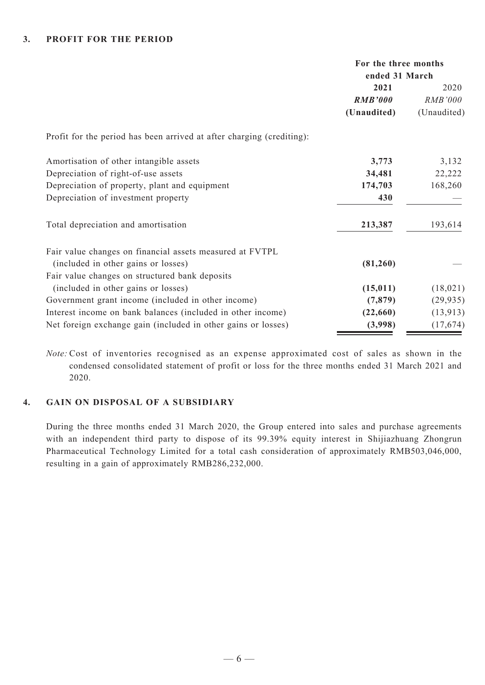|                                                                       | For the three months<br>ended 31 March |                |
|-----------------------------------------------------------------------|----------------------------------------|----------------|
|                                                                       | 2021                                   | 2020           |
|                                                                       | <b>RMB'000</b>                         | <i>RMB'000</i> |
|                                                                       | (Unaudited)                            | (Unaudited)    |
| Profit for the period has been arrived at after charging (crediting): |                                        |                |
| Amortisation of other intangible assets                               | 3,773                                  | 3,132          |
| Depreciation of right-of-use assets                                   | 34,481                                 | 22,222         |
| Depreciation of property, plant and equipment                         | 174,703                                | 168,260        |
| Depreciation of investment property                                   | 430                                    |                |
| Total depreciation and amortisation                                   | 213,387                                | 193,614        |
| Fair value changes on financial assets measured at FVTPL              |                                        |                |
| (included in other gains or losses)                                   | (81,260)                               |                |
| Fair value changes on structured bank deposits                        |                                        |                |
| (included in other gains or losses)                                   | (15, 011)                              | (18, 021)      |
| Government grant income (included in other income)                    | (7, 879)                               | (29, 935)      |
| Interest income on bank balances (included in other income)           | (22,660)                               | (13, 913)      |
| Net foreign exchange gain (included in other gains or losses)         | (3,998)                                | (17, 674)      |

*Note:* Cost of inventories recognised as an expense approximated cost of sales as shown in the condensed consolidated statement of profit or loss for the three months ended 31 March 2021 and 2020.

## **4. Gain on Disposal of a Subsidiary**

During the three months ended 31 March 2020, the Group entered into sales and purchase agreements with an independent third party to dispose of its 99.39% equity interest in Shijiazhuang Zhongrun Pharmaceutical Technology Limited for a total cash consideration of approximately RMB503,046,000, resulting in a gain of approximately RMB286,232,000.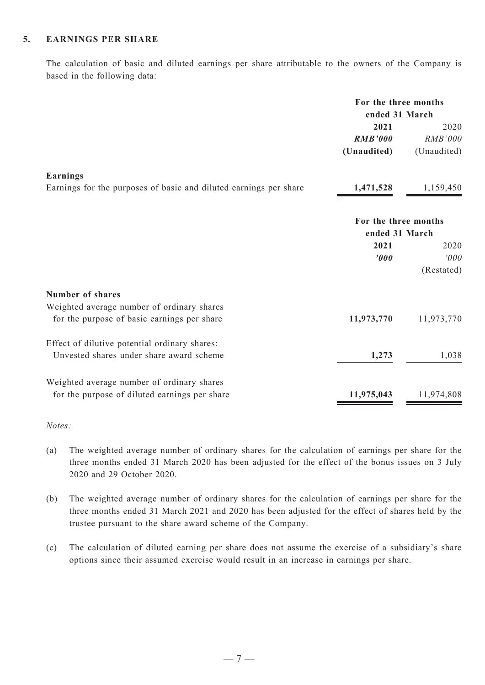## **5. Earnings Per Share**

The calculation of basic and diluted earnings per share attributable to the owners of the Company is based in the following data:

|                                                                   | For the three months<br>ended 31 March |             |
|-------------------------------------------------------------------|----------------------------------------|-------------|
|                                                                   | 2021                                   | 2020        |
|                                                                   | <b>RMB'000</b>                         | RMB'000     |
|                                                                   | (Unaudited)                            | (Unaudited) |
| Earnings                                                          |                                        |             |
| Earnings for the purposes of basic and diluted earnings per share | 1,471,528                              | 1,159,450   |
|                                                                   | For the three months<br>ended 31 March |             |
|                                                                   | 2021                                   | 2020        |
|                                                                   | '000                                   | '000        |
|                                                                   |                                        | (Restated)  |
| <b>Number of shares</b>                                           |                                        |             |
| Weighted average number of ordinary shares                        |                                        |             |
| for the purpose of basic earnings per share                       | 11,973,770                             | 11,973,770  |
| Effect of dilutive potential ordinary shares:                     |                                        |             |
| Unvested shares under share award scheme                          | 1,273                                  | 1,038       |
| Weighted average number of ordinary shares                        |                                        |             |
| for the purpose of diluted earnings per share                     | 11,975,043                             | 11,974,808  |
|                                                                   |                                        |             |

#### *Notes:*

- (a) The weighted average number of ordinary shares for the calculation of earnings per share for the three months ended 31 March 2020 has been adjusted for the effect of the bonus issues on 3 July 2020 and 29 October 2020.
- (b) The weighted average number of ordinary shares for the calculation of earnings per share for the three months ended 31 March 2021 and 2020 has been adjusted for the effect of shares held by the trustee pursuant to the share award scheme of the Company.
- (c) The calculation of diluted earning per share does not assume the exercise of a subsidiary's share options since their assumed exercise would result in an increase in earnings per share.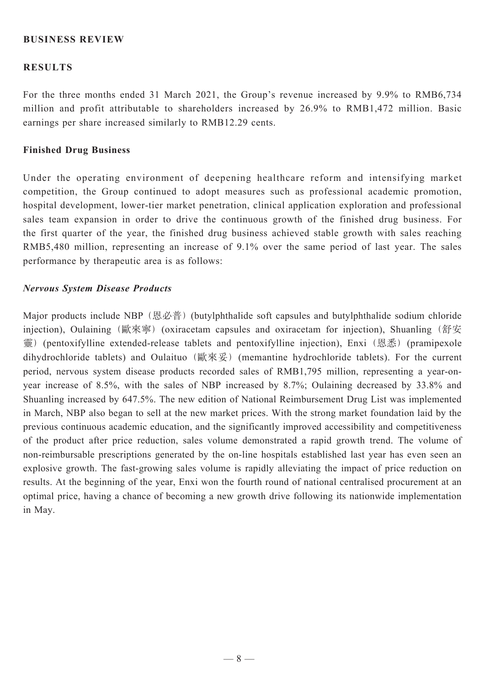# **Business REVIEW**

### **RESULTS**

For the three months ended 31 March 2021, the Group's revenue increased by 9.9% to RMB6,734 million and profit attributable to shareholders increased by 26.9% to RMB1,472 million. Basic earnings per share increased similarly to RMB12.29 cents.

#### **Finished Drug Business**

Under the operating environment of deepening healthcare reform and intensifying market competition, the Group continued to adopt measures such as professional academic promotion, hospital development, lower-tier market penetration, clinical application exploration and professional sales team expansion in order to drive the continuous growth of the finished drug business. For the first quarter of the year, the finished drug business achieved stable growth with sales reaching RMB5,480 million, representing an increase of 9.1% over the same period of last year. The sales performance by therapeutic area is as follows:

#### *Nervous System Disease Products*

Major products include NBP (恩必普) (butylphthalide soft capsules and butylphthalide sodium chloride injection), Oulaining (歐來寧) (oxiracetam capsules and oxiracetam for injection), Shuanling (舒安 靈) (pentoxifylline extended-release tablets and pentoxifylline injection), Enxi (恩悉) (pramipexole dihydrochloride tablets) and Oulaituo (歐來妥) (memantine hydrochloride tablets). For the current period, nervous system disease products recorded sales of RMB1,795 million, representing a year-onyear increase of 8.5%, with the sales of NBP increased by 8.7%; Oulaining decreased by 33.8% and Shuanling increased by 647.5%. The new edition of National Reimbursement Drug List was implemented in March, NBP also began to sell at the new market prices. With the strong market foundation laid by the previous continuous academic education, and the significantly improved accessibility and competitiveness of the product after price reduction, sales volume demonstrated a rapid growth trend. The volume of non-reimbursable prescriptions generated by the on-line hospitals established last year has even seen an explosive growth. The fast-growing sales volume is rapidly alleviating the impact of price reduction on results. At the beginning of the year, Enxi won the fourth round of national centralised procurement at an optimal price, having a chance of becoming a new growth drive following its nationwide implementation in May.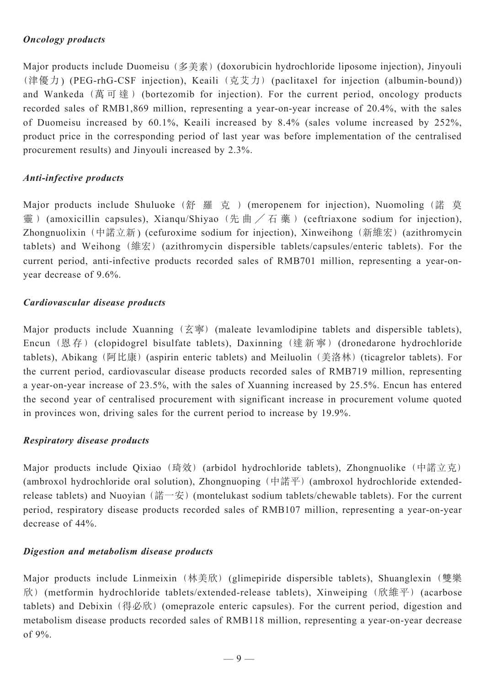# *Oncology products*

Major products include Duomeisu (多美素) (doxorubicin hydrochloride liposome injection), Jinyouli (津優力) (PEG-rhG-CSF injection), Keaili (克艾力) (paclitaxel for injection (albumin-bound)) and Wankeda (萬 可 達 ) (bortezomib for injection). For the current period, oncology products recorded sales of RMB1,869 million, representing a year-on-year increase of 20.4%, with the sales of Duomeisu increased by 60.1%, Keaili increased by 8.4% (sales volume increased by 252%, product price in the corresponding period of last year was before implementation of the centralised procurement results) and Jinyouli increased by 2.3%.

# *Anti-infective products*

Major products include Shuluoke (舒 羅 克 ) (meropenem for injection), Nuomoling (諾 莫 靈) (amoxicillin capsules), Xianqu/Shiyao (先 曲 / 石 藥 ) (ceftriaxone sodium for injection), Zhongnuolixin (中諾立新) (cefuroxime sodium for injection), Xinweihong (新維宏)(azithromycin tablets) and Weihong (維宏) (azithromycin dispersible tablets/capsules/enteric tablets). For the current period, anti-infective products recorded sales of RMB701 million, representing a year-onyear decrease of 9.6%.

# *Cardiovascular disease products*

Major products include Xuanning  $(\overline{\mathbf{\hat{x}}}$   $)$  (maleate levamlodipine tablets and dispersible tablets), Encun (恩 存 ) (clopidogrel bisulfate tablets), Daxinning (達 新 寧 ) (dronedarone hydrochloride tablets), Abikang (阿比康) (aspirin enteric tablets) and Meiluolin (美洛林) (ticagrelor tablets). For the current period, cardiovascular disease products recorded sales of RMB719 million, representing a year-on-year increase of 23.5%, with the sales of Xuanning increased by 25.5%. Encun has entered the second year of centralised procurement with significant increase in procurement volume quoted in provinces won, driving sales for the current period to increase by 19.9%.

# *Respiratory disease products*

Major products include Qixiao (琦效) (arbidol hydrochloride tablets), Zhongnuolike (中諾立克) (ambroxol hydrochloride oral solution), Zhongnuoping (中諾平) (ambroxol hydrochloride extendedrelease tablets) and Nuoyian (諾一安) (montelukast sodium tablets/chewable tablets). For the current period, respiratory disease products recorded sales of RMB107 million, representing a year-on-year decrease of 44%.

# *Digestion and metabolism disease products*

Major products include Linmeixin (林美欣) (glimepiride dispersible tablets), Shuanglexin (雙樂 欣) (metformin hydrochloride tablets/extended-release tablets), Xinweiping (欣維平) (acarbose tablets) and Debixin (得必欣) (omeprazole enteric capsules). For the current period, digestion and metabolism disease products recorded sales of RMB118 million, representing a year-on-year decrease of 9%.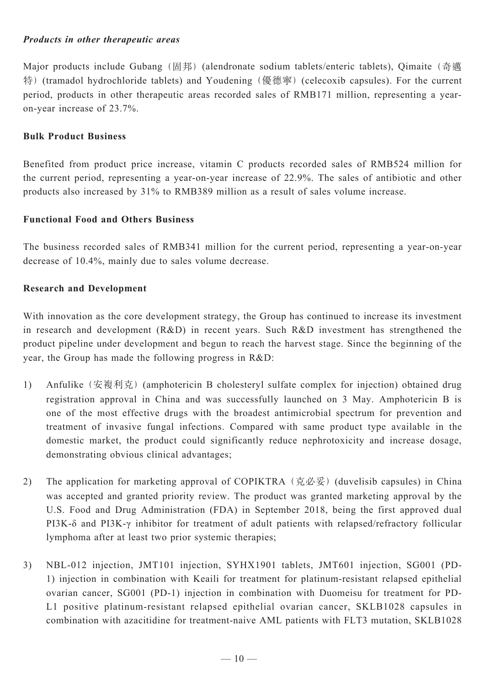# *Products in other therapeutic areas*

Major products include Gubang (固邦) (alendronate sodium tablets/enteric tablets), Qimaite (奇邁 特) (tramadol hydrochloride tablets) and Youdening (優德寧) (celecoxib capsules). For the current period, products in other therapeutic areas recorded sales of RMB171 million, representing a yearon-year increase of 23.7%.

# **Bulk Product Business**

Benefited from product price increase, vitamin C products recorded sales of RMB524 million for the current period, representing a year-on-year increase of 22.9%. The sales of antibiotic and other products also increased by 31% to RMB389 million as a result of sales volume increase.

# **Functional Food and Others Business**

The business recorded sales of RMB341 million for the current period, representing a year-on-year decrease of 10.4%, mainly due to sales volume decrease.

# **Research and Development**

With innovation as the core development strategy, the Group has continued to increase its investment in research and development (R&D) in recent years. Such R&D investment has strengthened the product pipeline under development and begun to reach the harvest stage. Since the beginning of the year, the Group has made the following progress in R&D:

- 1) Anfulike (安複利克) (amphotericin B cholesteryl sulfate complex for injection) obtained drug registration approval in China and was successfully launched on 3 May. Amphotericin B is one of the most effective drugs with the broadest antimicrobial spectrum for prevention and treatment of invasive fungal infections. Compared with same product type available in the domestic market, the product could significantly reduce nephrotoxicity and increase dosage, demonstrating obvious clinical advantages;
- 2) The application for marketing approval of COPIKTRA (克必妥) (duvelisib capsules) in China was accepted and granted priority review. The product was granted marketing approval by the U.S. Food and Drug Administration (FDA) in September 2018, being the first approved dual PI3K-δ and PI3K-γ inhibitor for treatment of adult patients with relapsed/refractory follicular lymphoma after at least two prior systemic therapies;
- 3) NBL-012 injection, JMT101 injection, SYHX1901 tablets, JMT601 injection, SG001 (PD-1) injection in combination with Keaili for treatment for platinum-resistant relapsed epithelial ovarian cancer, SG001 (PD-1) injection in combination with Duomeisu for treatment for PD-L1 positive platinum-resistant relapsed epithelial ovarian cancer, SKLB1028 capsules in combination with azacitidine for treatment-naive AML patients with FLT3 mutation, SKLB1028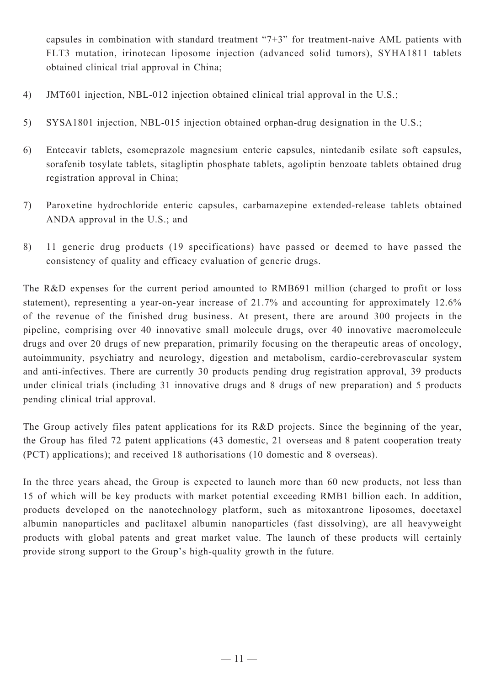capsules in combination with standard treatment "7+3" for treatment-naive AML patients with FLT3 mutation, irinotecan liposome injection (advanced solid tumors), SYHA1811 tablets obtained clinical trial approval in China;

- 4) JMT601 injection, NBL-012 injection obtained clinical trial approval in the U.S.;
- 5) SYSA1801 injection, NBL-015 injection obtained orphan-drug designation in the U.S.;
- 6) Entecavir tablets, esomeprazole magnesium enteric capsules, nintedanib esilate soft capsules, sorafenib tosylate tablets, sitagliptin phosphate tablets, agoliptin benzoate tablets obtained drug registration approval in China;
- 7) Paroxetine hydrochloride enteric capsules, carbamazepine extended-release tablets obtained ANDA approval in the U.S.; and
- 8) 11 generic drug products (19 specifications) have passed or deemed to have passed the consistency of quality and efficacy evaluation of generic drugs.

The R&D expenses for the current period amounted to RMB691 million (charged to profit or loss statement), representing a year-on-year increase of 21.7% and accounting for approximately 12.6% of the revenue of the finished drug business. At present, there are around 300 projects in the pipeline, comprising over 40 innovative small molecule drugs, over 40 innovative macromolecule drugs and over 20 drugs of new preparation, primarily focusing on the therapeutic areas of oncology, autoimmunity, psychiatry and neurology, digestion and metabolism, cardio-cerebrovascular system and anti-infectives. There are currently 30 products pending drug registration approval, 39 products under clinical trials (including 31 innovative drugs and 8 drugs of new preparation) and 5 products pending clinical trial approval.

The Group actively files patent applications for its R&D projects. Since the beginning of the year, the Group has filed 72 patent applications (43 domestic, 21 overseas and 8 patent cooperation treaty (PCT) applications); and received 18 authorisations (10 domestic and 8 overseas).

In the three years ahead, the Group is expected to launch more than 60 new products, not less than 15 of which will be key products with market potential exceeding RMB1 billion each. In addition, products developed on the nanotechnology platform, such as mitoxantrone liposomes, docetaxel albumin nanoparticles and paclitaxel albumin nanoparticles (fast dissolving), are all heavyweight products with global patents and great market value. The launch of these products will certainly provide strong support to the Group's high-quality growth in the future.